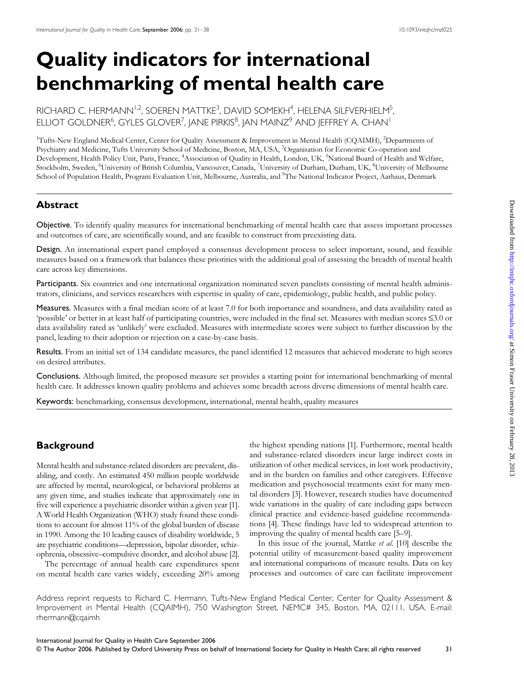# **Quality indicators for international benchmarking of mental health care**

RICHARD C. HERMANN<sup>I,2</sup>, SOEREN MATTKE<sup>3</sup>, DAVID SOMEKH<sup>4</sup>, HELENA SILFVERHIELM<sup>5</sup>, ELLIOT GOLDNER $^6$ , GYLES GLOVER $^7$ , JANE PIRKIS $^8$ , JAN MAINZ $^9$  AND JEFFREY A. CHAN'

<sup>1</sup>Tufts-New England Medical Center, Center for Quality Assessment & Improvement in Mental Health (CQAIMH), <sup>2</sup>Departments of Psychiatry and Medicine, Tufts University School of Medicine, Boston, MA, USA, <sup>3</sup>Organisation for Economic Co-operation and Development, Health Policy Unit, Paris, France, <sup>4</sup>Association of Quality in Health, London, UK, <sup>5</sup>National Board of Health and Welfare, Stockholm, Sweden, <sup>6</sup>University of British Columbia, Vancouver, Canada, <sup>7</sup>University of Durham, Durham, UK, <sup>8</sup>University of Melbourne School of Population Health, Program Evaluation Unit, Melbourne, Australia, and <sup>9</sup>The National Indicator Project, Aarhaus, Denmark

# **Abstract**

Objective. To identify quality measures for international benchmarking of mental health care that assess important processes and outcomes of care, are scientifically sound, and are feasible to construct from preexisting data.

Design. An international expert panel employed a consensus development process to select important, sound, and feasible measures based on a framework that balances these priorities with the additional goal of assessing the breadth of mental health care across key dimensions.

Participants. Six countries and one international organization nominated seven panelists consisting of mental health administrators, clinicians, and services researchers with expertise in quality of care, epidemiology, public health, and public policy.

Measures. Measures with a final median score of at least 7.0 for both importance and soundness, and data availability rated as 'possible' or better in at least half of participating countries, were included in the final set. Measures with median scores ≤3.0 or data availability rated as 'unlikely' were excluded. Measures with intermediate scores were subject to further discussion by the panel, leading to their adoption or rejection on a case-by-case basis.

Results. From an initial set of 134 candidate measures, the panel identified 12 measures that achieved moderate to high scores on desired attributes.

Conclusions. Although limited, the proposed measure set provides a starting point for international benchmarking of mental health care. It addresses known quality problems and achieves some breadth across diverse dimensions of mental health care.

Keywords: benchmarking, consensus development, international, mental health, quality measures

## **Background**

Mental health and substance-related disorders are prevalent, disabling, and costly. An estimated 450 million people worldwide are affected by mental, neurological, or behavioral problems at any given time, and studies indicate that approximately one in five will experience a psychiatric disorder within a given year [1]. A World Health Organization (WHO) study found these conditions to account for almost 11% of the global burden of disease in 1990. Among the 10 leading causes of disability worldwide, 5 are psychiatric conditions—depression, bipolar disorder, schizophrenia, obsessive–compulsive disorder, and alcohol abuse [2].

The percentage of annual health care expenditures spent on mental health care varies widely, exceeding 20% among the highest spending nations [1]. Furthermore, mental health and substance-related disorders incur large indirect costs in utilization of other medical services, in lost work productivity, and in the burden on families and other caregivers. Effective medication and psychosocial treatments exist for many mental disorders [3]. However, research studies have documented wide variations in the quality of care including gaps between clinical practice and evidence-based guideline recommendations [4]. These findings have led to widespread attention to improving the quality of mental health care [5–9].

In this issue of the journal, Mattke *et al*. [10] describe the potential utility of measurement-based quality improvement and international comparisons of measure results. Data on key processes and outcomes of care can facilitate improvement

Address reprint requests to Richard C. Hermann, Tufts-New England Medical Center, Center for Quality Assessment & Improvement in Mental Health (CQAIMH), 750 Washington Street, NEMC# 345, Boston, MA, 02111, USA. E-mail: rhermann@cqaimh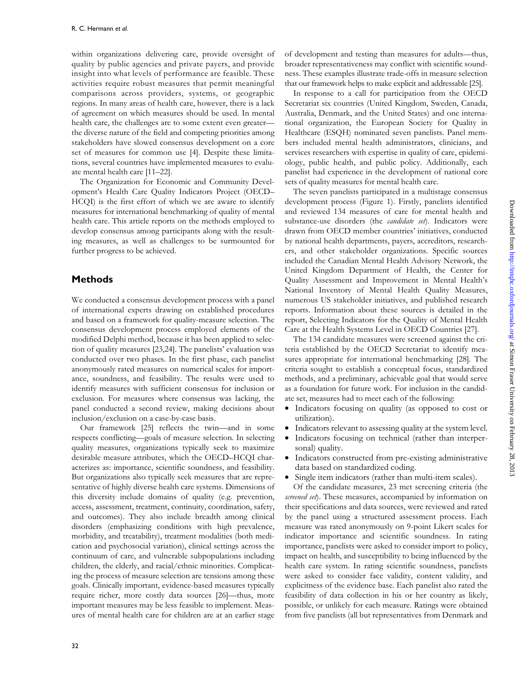within organizations delivering care, provide oversight of quality by public agencies and private payers, and provide insight into what levels of performance are feasible. These activities require robust measures that permit meaningful comparisons across providers, systems, or geographic regions. In many areas of health care, however, there is a lack of agreement on which measures should be used. In mental health care, the challenges are to some extent even greater the diverse nature of the field and competing priorities among stakeholders have slowed consensus development on a core set of measures for common use [4]. Despite these limitations, several countries have implemented measures to evaluate mental health care [11–22].

The Organization for Economic and Community Development's Health Care Quality Indicators Project (OECD– HCQI) is the first effort of which we are aware to identify measures for international benchmarking of quality of mental health care. This article reports on the methods employed to develop consensus among participants along with the resulting measures, as well as challenges to be surmounted for further progress to be achieved.

## **Methods**

We conducted a consensus development process with a panel of international experts drawing on established procedures and based on a framework for quality-measure selection. The consensus development process employed elements of the modified Delphi method, because it has been applied to selection of quality measures [23,24]. The panelists' evaluation was conducted over two phases. In the first phase, each panelist anonymously rated measures on numerical scales for importance, soundness, and feasibility. The results were used to identify measures with sufficient consensus for inclusion or exclusion. For measures where consensus was lacking, the panel conducted a second review, making decisions about inclusion/exclusion on a case-by-case basis.

Our framework [25] reflects the twin—and in some respects conflicting—goals of measure selection. In selecting quality measures, organizations typically seek to maximize desirable measure attributes, which the OECD–HCQI characterizes as: importance, scientific soundness, and feasibility. But organizations also typically seek measures that are representative of highly diverse health care systems. Dimensions of this diversity include domains of quality (e.g. prevention, access, assessment, treatment, continuity, coordination, safety, and outcomes). They also include breadth among clinical disorders (emphasizing conditions with high prevalence, morbidity, and treatability), treatment modalities (both medication and psychosocial variation), clinical settings across the continuum of care, and vulnerable subpopulations including children, the elderly, and racial/ethnic minorities. Complicating the process of measure selection are tensions among these goals. Clinically important, evidence-based measures typically require richer, more costly data sources [26]—thus, more important measures may be less feasible to implement. Measures of mental health care for children are at an earlier stage

of development and testing than measures for adults—thus, broader representativeness may conflict with scientific soundness. These examples illustrate trade-offs in measure selection that our framework helps to make explicit and addressable [25].

In response to a call for participation from the OECD Secretariat six countries (United Kingdom, Sweden, Canada, Australia, Denmark, and the United States) and one international organization, the European Society for Quality in Healthcare (ESQH) nominated seven panelists. Panel members included mental health administrators, clinicians, and services researchers with expertise in quality of care, epidemiology, public health, and public policy. Additionally, each panelist had experience in the development of national core sets of quality measures for mental health care.

The seven panelists participated in a multistage consensus development process (Figure 1). Firstly, panelists identified and reviewed 134 measures of care for mental health and substance-use disorders (the *candidate set*). Indicators were drawn from OECD member countries' initiatives, conducted by national health departments, payers, accreditors, researchers, and other stakeholder organizations. Specific sources included the Canadian Mental Health Advisory Network, the United Kingdom Department of Health, the Center for Quality Assessment and Improvement in Mental Health's National Inventory of Mental Health Quality Measures, numerous US stakeholder initiatives, and published research reports. Information about these sources is detailed in the report, Selecting Indicators for the Quality of Mental Health Care at the Health Systems Level in OECD Countries [27].

The 134 candidate measures were screened against the criteria established by the OECD Secretariat to identify measures appropriate for international benchmarking [28]. The criteria sought to establish a conceptual focus, standardized methods, and a preliminary, achievable goal that would serve as a foundation for future work. For inclusion in the candidate set, measures had to meet each of the following:

- Indicators focusing on quality (as opposed to cost or utilization).
- Indicators relevant to assessing quality at the system level.
- Indicators focusing on technical (rather than interpersonal) quality.
- Indicators constructed from pre-existing administrative data based on standardized coding.
- Single item indicators (rather than multi-item scales).

Of the candidate measures, 23 met screening criteria (the *screened set*). These measures, accompanied by information on their specifications and data sources, were reviewed and rated by the panel using a structured assessment process. Each measure was rated anonymously on 9-point Likert scales for indicator importance and scientific soundness. In rating importance, panelists were asked to consider import to policy, impact on health, and susceptibility to being influenced by the health care system. In rating scientific soundness, panelists were asked to consider face validity, content validity, and explicitness of the evidence base. Each panelist also rated the feasibility of data collection in his or her country as likely, possible, or unlikely for each measure. Ratings were obtained from five panelists (all but representatives from Denmark and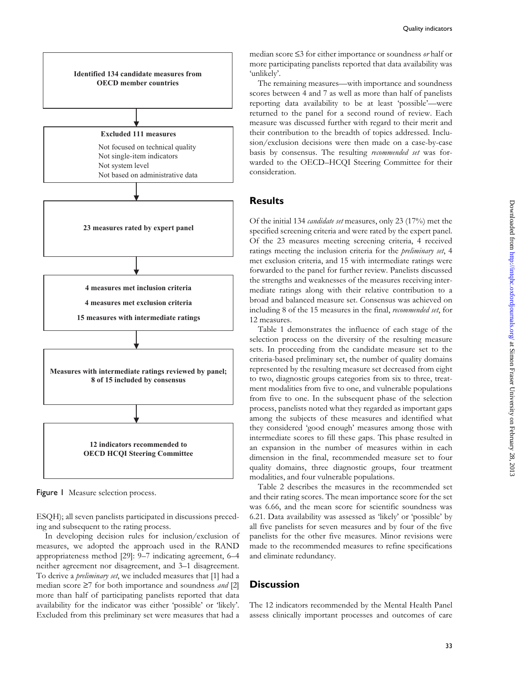

Figure 1 Measure selection process.

ESQH); all seven panelists participated in discussions preceding and subsequent to the rating process.

In developing decision rules for inclusion/exclusion of measures, we adopted the approach used in the RAND appropriateness method [29]: 9–7 indicating agreement, 6–4 neither agreement nor disagreement, and 3–1 disagreement. To derive a *preliminary set*, we included measures that [1] had a median score ≥7 for both importance and soundness *and* [2] more than half of participating panelists reported that data availability for the indicator was either 'possible' or 'likely'. Excluded from this preliminary set were measures that had a

median score ≤3 for either importance or soundness *or* half or more participating panelists reported that data availability was 'unlikely'.

The remaining measures—with importance and soundness scores between 4 and 7 as well as more than half of panelists reporting data availability to be at least 'possible'—were returned to the panel for a second round of review. Each measure was discussed further with regard to their merit and their contribution to the breadth of topics addressed. Inclusion/exclusion decisions were then made on a case-by-case basis by consensus. The resulting *recommended set* was forwarded to the OECD–HCQI Steering Committee for their consideration.

## **Results**

Of the initial 134 *candidate set* measures, only 23 (17%) met the specified screening criteria and were rated by the expert panel. Of the 23 measures meeting screening criteria, 4 received ratings meeting the inclusion criteria for the *preliminary set*, 4 met exclusion criteria, and 15 with intermediate ratings were forwarded to the panel for further review. Panelists discussed the strengths and weaknesses of the measures receiving intermediate ratings along with their relative contribution to a broad and balanced measure set. Consensus was achieved on including 8 of the 15 measures in the final, *recommended set*, for 12 measures.

Table 1 demonstrates the influence of each stage of the selection process on the diversity of the resulting measure sets. In proceeding from the candidate measure set to the criteria-based preliminary set, the number of quality domains represented by the resulting measure set decreased from eight to two, diagnostic groups categories from six to three, treatment modalities from five to one, and vulnerable populations from five to one. In the subsequent phase of the selection process, panelists noted what they regarded as important gaps among the subjects of these measures and identified what they considered 'good enough' measures among those with intermediate scores to fill these gaps. This phase resulted in an expansion in the number of measures within in each dimension in the final, recommended measure set to four quality domains, three diagnostic groups, four treatment modalities, and four vulnerable populations.

Table 2 describes the measures in the recommended set and their rating scores. The mean importance score for the set was 6.66, and the mean score for scientific soundness was 6.21. Data availability was assessed as 'likely' or 'possible' by all five panelists for seven measures and by four of the five panelists for the other five measures. Minor revisions were made to the recommended measures to refine specifications and eliminate redundancy.

## **Discussion**

The 12 indicators recommended by the Mental Health Panel assess clinically important processes and outcomes of care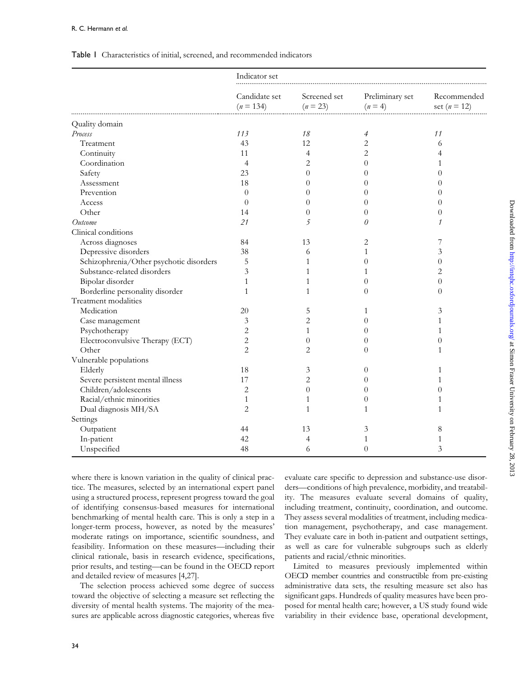| Table I Characteristics of initial, screened, and recommended indicators |  |
|--------------------------------------------------------------------------|--|
|--------------------------------------------------------------------------|--|

|                                         | Indicator set                |                            |                                       |                                 |  |
|-----------------------------------------|------------------------------|----------------------------|---------------------------------------|---------------------------------|--|
|                                         | Candidate set<br>$(n = 134)$ | Screened set<br>$(n = 23)$ | Preliminary set<br>$= 23$ ( $n = 4$ ) | Recommended<br>set ( $n = 12$ ) |  |
| Quality domain                          |                              |                            |                                       |                                 |  |
| Process                                 | 113                          | 18                         | 4                                     | 11                              |  |
| Treatment                               | 43                           | 12                         | $\overline{c}$                        | 6                               |  |
| Continuity                              | 11                           | 4                          | $\overline{2}$                        | 4                               |  |
| Coordination                            | $\overline{4}$               | 2                          | $\overline{0}$                        |                                 |  |
| Safety                                  | 23                           | $\theta$                   | $\overline{0}$                        | 0                               |  |
| Assessment                              | 18                           | $\theta$                   | $\theta$                              | 0                               |  |
| Prevention                              | $\theta$                     | 0                          | $\theta$                              | $\theta$                        |  |
| Access                                  | $\theta$                     | 0                          | $\overline{0}$                        | 0                               |  |
| Other                                   | 14                           | $\overline{0}$             | $\overline{0}$                        | $\theta$                        |  |
| Outcome                                 | 21                           | 5                          | 0                                     | 1                               |  |
| Clinical conditions                     |                              |                            |                                       |                                 |  |
| Across diagnoses                        | 84                           | 13                         | 2                                     | 7                               |  |
| Depressive disorders                    | 38                           | 6                          | 1                                     | 3                               |  |
| Schizophrenia/Other psychotic disorders | 5                            | 1                          | $\overline{0}$                        | $\theta$                        |  |
| Substance-related disorders             | 3                            | 1                          | 1                                     | 2                               |  |
| Bipolar disorder                        | $\mathbf{1}$                 | 1                          | $\theta$                              | $\theta$                        |  |
| Borderline personality disorder         | 1                            | 1                          | $\theta$                              | $\theta$                        |  |
| Treatment modalities                    |                              |                            |                                       |                                 |  |
| Medication                              | 20                           | 5                          | $\mathbf{1}$                          | 3                               |  |
| Case management                         | 3                            | 2                          | $\theta$                              | 1                               |  |
| Psychotherapy                           | $\overline{c}$               | 1                          | $\theta$                              | 1                               |  |
| Electroconvulsive Therapy (ECT)         | $\mathbf{2}$                 | 0                          | $\overline{0}$                        | $\theta$                        |  |
| Other                                   | $\overline{2}$               | 2                          | $\theta$                              | 1                               |  |
| Vulnerable populations                  |                              |                            |                                       |                                 |  |
| Elderly                                 | 18                           | 3                          | $\theta$                              | 1                               |  |
| Severe persistent mental illness        | 17                           | $\overline{c}$             | $\overline{0}$                        |                                 |  |
| Children/adolescents                    | $\mathbf{2}$                 | $\overline{0}$             | $\overline{0}$                        | 0                               |  |
| Racial/ethnic minorities                | $\mathbf{1}$                 | 1                          | 0                                     |                                 |  |
| Dual diagnosis MH/SA                    | $\overline{2}$               | 1                          | $\mathbf{1}$                          | 1                               |  |
| Settings                                |                              |                            |                                       |                                 |  |
| Outpatient                              | 44                           | 13                         | 3                                     | 8                               |  |
| In-patient                              | 42                           | 4                          | 1                                     | 1                               |  |
| Unspecified                             | 48                           | 6                          | $\theta$                              | 3                               |  |

evaluate care specific to depression and substance-use disorders—conditions of high prevalence, morbidity, and treatability. The measures evaluate several domains of quality, including treatment, continuity, coordination, and outcome. They assess several modalities of treatment, including medication management, psychotherapy, and case management. They evaluate care in both in-patient and outpatient settings, as well as care for vulnerable subgroups such as elderly

Limited to measures previously implemented within OECD member countries and constructible from pre-existing administrative data sets, the resulting measure set also has significant gaps. Hundreds of quality measures have been proposed for mental health care; however, a US study found wide variability in their evidence base, operational development,

patients and racial/ethnic minorities.

where there is known variation in the quality of clinical practice. The measures, selected by an international expert panel using a structured process, represent progress toward the goal of identifying consensus-based measures for international benchmarking of mental health care. This is only a step in a longer-term process, however, as noted by the measures' moderate ratings on importance, scientific soundness, and feasibility. Information on these measures—including their clinical rationale, basis in research evidence, specifications, prior results, and testing—can be found in the OECD report and detailed review of measures [4,27].

The selection process achieved some degree of success toward the objective of selecting a measure set reflecting the diversity of mental health systems. The majority of the measures are applicable across diagnostic categories, whereas five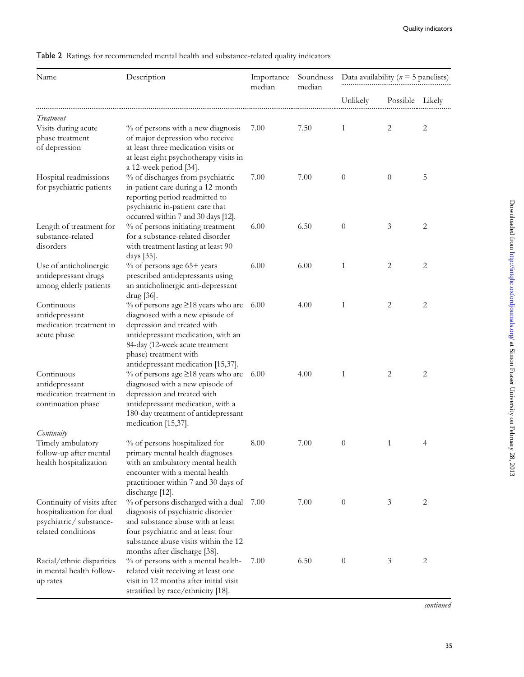| Table 2 Ratings for recommended mental health and substance-related quality indicators |  |
|----------------------------------------------------------------------------------------|--|
|----------------------------------------------------------------------------------------|--|

| Name                                                                                                   | Description                                                                                                                                                                                                                                        | Importance<br>median | Soundness<br>median | Data availability ( $n = 5$ panelists) |                 |   |
|--------------------------------------------------------------------------------------------------------|----------------------------------------------------------------------------------------------------------------------------------------------------------------------------------------------------------------------------------------------------|----------------------|---------------------|----------------------------------------|-----------------|---|
|                                                                                                        |                                                                                                                                                                                                                                                    |                      |                     | Unlikely                               | Possible Likely |   |
| <i><u>I</u></i> reatment                                                                               |                                                                                                                                                                                                                                                    |                      |                     |                                        |                 |   |
| Visits during acute<br>phase treatment<br>of depression                                                | % of persons with a new diagnosis<br>of major depression who receive<br>at least three medication visits or<br>at least eight psychotherapy visits in<br>a 12-week period [34].                                                                    | 7.00                 | 7.50                | 1                                      | 2               | 2 |
| Hospital readmissions<br>for psychiatric patients                                                      | % of discharges from psychiatric<br>in-patient care during a 12-month<br>reporting period readmitted to<br>psychiatric in-patient care that<br>occurred within 7 and 30 days [12].                                                                 | 7.00                 | 7.00                | $\theta$                               | $\overline{0}$  | 5 |
| Length of treatment for<br>substance-related<br>disorders                                              | % of persons initiating treatment<br>for a substance-related disorder<br>with treatment lasting at least 90<br>days [35].                                                                                                                          | 6.00                 | 6.50                | $\theta$                               | 3               | 2 |
| Use of anticholinergic<br>antidepressant drugs<br>among elderly patients                               | % of persons age 65+ years<br>prescribed antidepressants using<br>an anticholinergic anti-depressant<br>drug [36].                                                                                                                                 | 6.00                 | 6.00                | 1                                      | 2               | 2 |
| Continuous<br>antidepressant<br>medication treatment in<br>acute phase                                 | % of persons age $\geq$ 18 years who are<br>diagnosed with a new episode of<br>depression and treated with<br>antidepressant medication, with an<br>84-day (12-week acute treatment<br>phase) treatment with<br>antidepressant medication [15,37]. | 6.00                 | 4.00                | 1                                      | 2               | 2 |
| Continuous<br>antidepressant<br>medication treatment in<br>continuation phase                          | % of persons age $\geq$ 18 years who are 6.00<br>diagnosed with a new episode of<br>depression and treated with<br>antidepressant medication, with a<br>180-day treatment of antidepressant<br>medication [15,37].                                 |                      | 4.00                | 1                                      | 2               | 2 |
| Continuity<br>Timely ambulatory<br>follow-up after mental<br>health hospitalization                    | % of persons hospitalized for<br>primary mental health diagnoses<br>with an ambulatory mental health<br>encounter with a mental health<br>practitioner within 7 and 30 days of<br>discharge [12].                                                  | 8.00                 | 7.00                | $\theta$                               | 1               | 4 |
| Continuity of visits after<br>hospitalization for dual<br>psychiatric/substance-<br>related conditions | % of persons discharged with a dual<br>diagnosis of psychiatric disorder<br>and substance abuse with at least<br>four psychiatric and at least four<br>substance abuse visits within the 12<br>months after discharge [38].                        | 7.00                 | 7.00                | $\theta$                               | 3               | 2 |
| Racial/ethnic disparities<br>in mental health follow-<br>up rates                                      | % of persons with a mental health-<br>related visit receiving at least one<br>visit in 12 months after initial visit<br>stratified by race/ethnicity [18].                                                                                         | 7.00                 | 6.50                | $\overline{0}$                         | 3               | 2 |

*continued*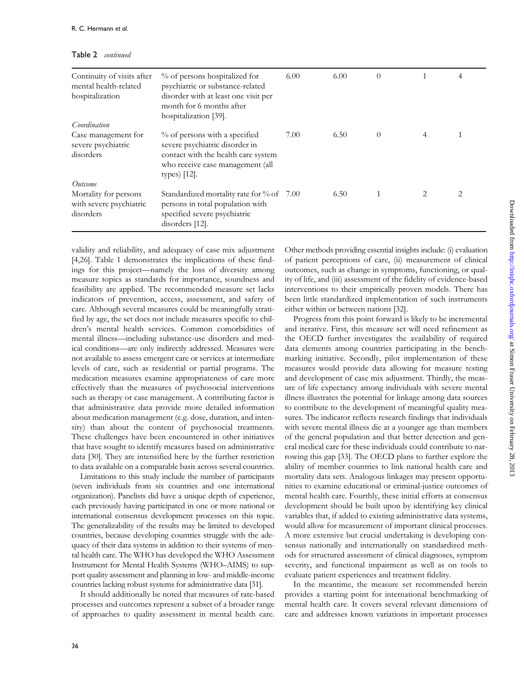| Continuity of visits after<br>mental health-related<br>hospitalization | % of persons hospitalized for<br>psychiatric or substance-related<br>disorder with at least one visit per<br>month for 6 months after<br>hospitalization [39]. | 6.00 | 6.00 | $\overline{0}$ | 1 | $\overline{4}$ |
|------------------------------------------------------------------------|----------------------------------------------------------------------------------------------------------------------------------------------------------------|------|------|----------------|---|----------------|
| Coordination                                                           |                                                                                                                                                                |      |      |                |   |                |
| Case management for<br>severe psychiatric<br>disorders                 | % of persons with a specified<br>severe psychiatric disorder in<br>contact with the health care system<br>who receive case management (all<br>types) $[12]$ .  | 7.00 | 6.50 | $\Omega$       | 4 |                |
| Outcome                                                                |                                                                                                                                                                |      |      |                |   |                |
| Mortality for persons<br>with severe psychiatric<br>disorders          | Standardized mortality rate for % of 7.00<br>persons in total population with<br>specified severe psychiatric<br>disorders [12].                               |      | 6.50 | 1              | 2 | 2              |

#### Table 2 *continued*

validity and reliability, and adequacy of case mix adjustment [4,26]. Table 1 demonstrates the implications of these findings for this project—namely the loss of diversity among measure topics as standards for importance, soundness and feasibility are applied. The recommended measure set lacks indicators of prevention, access, assessment, and safety of care. Although several measures could be meaningfully stratified by age, the set does not include measures specific to children's mental health services. Common comorbidities of mental illness—including substance-use disorders and medical conditions—are only indirectly addressed. Measures were not available to assess emergent care or services at intermediate levels of care, such as residential or partial programs. The medication measures examine appropriateness of care more effectively than the measures of psychosocial interventions such as therapy or case management. A contributing factor is that administrative data provide more detailed information about medication management (e.g. dose, duration, and intensity) than about the content of psychosocial treatments. These challenges have been encountered in other initiatives that have sought to identify measures based on administrative data [30]. They are intensified here by the further restriction to data available on a comparable basis across several countries.

Limitations to this study include the number of participants (seven individuals from six countries and one international organization). Panelists did have a unique depth of experience, each previously having participated in one or more national or international consensus development processes on this topic. The generalizability of the results may be limited to developed countries, because developing countries struggle with the adequacy of their data systems in addition to their systems of mental health care. The WHO has developed the WHO Assessment Instrument for Mental Health Systems (WHO–AIMS) to support quality assessment and planning in low- and middle-income countries lacking robust systems for administrative data [31].

It should additionally be noted that measures of rate-based processes and outcomes represent a subset of a broader range of approaches to quality assessment in mental health care. Other methods providing essential insights include: (i) evaluation of patient perceptions of care, (ii) measurement of clinical outcomes, such as change in symptoms, functioning, or quality of life, and (iii) assessment of the fidelity of evidence-based interventions to their empirically proven models. There has been little standardized implementation of such instruments either within or between nations [32].

Progress from this point forward is likely to be incremental and iterative. First, this measure set will need refinement as the OECD further investigates the availability of required data elements among countries participating in the benchmarking initiative. Secondly, pilot implementation of these measures would provide data allowing for measure testing and development of case mix adjustment. Thirdly, the measure of life expectancy among individuals with severe mental illness illustrates the potential for linkage among data sources to contribute to the development of meaningful quality measures. The indicator reflects research findings that individuals with severe mental illness die at a younger age than members of the general population and that better detection and general medical care for these individuals could contribute to narrowing this gap [33]. The OECD plans to further explore the ability of member countries to link national health care and mortality data sets. Analogous linkages may present opportunities to examine educational or criminal-justice outcomes of mental health care. Fourthly, these initial efforts at consensus development should be built upon by identifying key clinical variables that, if added to existing administrative data systems, would allow for measurement of important clinical processes. A more extensive but crucial undertaking is developing consensus nationally and internationally on standardized methods for structured assessment of clinical diagnoses, symptom severity, and functional impairment as well as on tools to evaluate patient experiences and treatment fidelity.

In the meantime, the measure set recommended herein provides a starting point for international benchmarking of mental health care. It covers several relevant dimensions of care and addresses known variations in important processes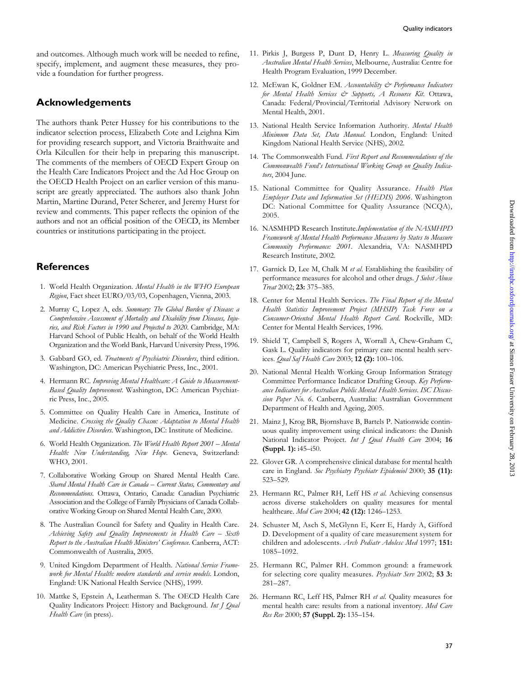and outcomes. Although much work will be needed to refine, specify, implement, and augment these measures, they provide a foundation for further progress.

#### **Acknowledgements**

The authors thank Peter Hussey for his contributions to the indicator selection process, Elizabeth Cote and Leighna Kim for providing research support, and Victoria Braithwaite and Orla Kilcullen for their help in preparing this manuscript. The comments of the members of OECD Expert Group on the Health Care Indicators Project and the Ad Hoc Group on the OECD Health Project on an earlier version of this manuscript are greatly appreciated. The authors also thank John Martin, Martine Durand, Peter Scherer, and Jeremy Hurst for review and comments. This paper reflects the opinion of the authors and not an official position of the OECD, its Member countries or institutions participating in the project.

#### **References**

- 1. World Health Organization. *Mental Health in the WHO European Region*, Fact sheet EURO/03/03, Copenhagen, Vienna, 2003.
- 2. Murray C, Lopez A, eds. *Summary: The Global Burden of Disease: a Comprehensive Assessment of Mortality and Disability from Diseases, Injuries, and Risk Factors in 1990 and Projected to 2020*. Cambridge, MA: Harvard School of Public Health, on behalf of the World Health Organization and the World Bank, Harvard University Press, 1996.
- 3. Gabbard GO, ed. *Treatments of Psychiatric Disorders*, third edition. Washington, DC: American Psychiatric Press, Inc., 2001.
- 4. Hermann RC. *Improving Mental Healthcare: A Guide to Measurement-Based Quality Improvement*. Washington, DC: American Psychiatric Press, Inc., 2005.
- 5. Committee on Quality Health Care in America, Institute of Medicine. *Crossing the Quality Chasm: Adaptation to Mental Health and Addictive Disorders*. Washington, DC: Institute of Medicine.
- 6. World Health Organization. *The World Health Report 2001 Mental Health: New Understanding, New Hope*. Geneva, Switzerland: WHO, 2001.
- 7. Collaborative Working Group on Shared Mental Health Care. *Shared Mental Health Care in Canada – Current Status, Commentary and Recommendations*. Ottawa, Ontario, Canada: Canadian Psychiatric Association and the College of Family Physicians of Canada Collaborative Working Group on Shared Mental Health Care, 2000.
- 8. The Australian Council for Safety and Quality in Health Care. *Achieving Safety and Quality Improvements in Health Care – Sixth Report to the Australian Health Ministers' Conference*. Canberra, ACT: Commonwealth of Australia, 2005.
- 9. United Kingdom Department of Health. *National Service Framework for Mental Health: modern standards and service models*. London, England: UK National Health Service (NHS), 1999.
- 10. Mattke S, Epstein A, Leatherman S. The OECD Health Care Quality Indicators Project: History and Background. *Int J Qual Health Care* (in press).
- 11. Pirkis J, Burgess P, Dunt D, Henry L. *Measuring Quality in Australian Mental Health Services*, Melbourne, Australia: Centre for Health Program Evaluation, 1999 December.
- 12. McEwan K, Goldner EM. *Accountability & Performance Indicators for Mental Health Services & Supports, A Resource Kit*. Ottawa, Canada: Federal/Provincial/Territorial Advisory Network on Mental Health, 2001.
- 13. National Health Service Information Authority. *Mental Health Minimum Data Set, Data Manual*. London, England: United Kingdom National Health Service (NHS), 2002.
- 14. The Commonwealth Fund. *First Report and Recommendations of the Commonwealth Fund's International Working Group on Quality Indicators*, 2004 June.
- 15. National Committee for Quality Assurance. *Health Plan Employer Data and Information Set (HEDIS) 2006*. Washington DC: National Committee for Quality Assurance (NCQA), 2005.
- 16. NASMHPD Research Institute.*Implementation of the NASMHPD Framework of Mental Health Performance Measures by States to Measure Community Performance: 2001*. Alexandria, VA: NASMHPD Research Institute, 2002.
- 17. Garnick D, Lee M, Chalk M *et al*. Establishing the feasibility of performance measures for alcohol and other drugs. *J Subst Abuse Treat* 2002; **23:** 375–385.
- 18. Center for Mental Health Services. *The Final Report of the Mental Health Statistics Improvement Project (MHSIP) Task Force on a Consumer-Oriented Mental Health Report Card*. Rockville, MD: Center for Mental Health Services, 1996.
- 19. Shield T, Campbell S, Rogers A, Worrall A, Chew-Graham C, Gask L. Quality indicators for primary care mental health services. *Qual Saf Health Care* 2003; **12 (2):** 100–106.
- 20. National Mental Health Working Group Information Strategy Committee Performance Indicator Drafting Group. *Key Performance Indicators for Australian Public Mental Health Services. ISC Discussion Paper No. 6*. Canberra, Australia: Australian Government Department of Health and Ageing, 2005.
- 21. Mainz J, Krog BR, Bjornshave B, Bartels P. Nationwide continuous quality improvement using clinical indicators: the Danish National Indicator Project. *Int J Qual Health Care* 2004; **16 (Suppl. 1):** i45–i50.
- 22. Glover GR. A comprehensive clinical database for mental health care in England. *Soc Psychiatry Psychiatr Epidemiol* 2000; **35 (11):** 523–529.
- 23. Hermann RC, Palmer RH, Leff HS *et al*. Achieving consensus across diverse stakeholders on quality measures for mental healthcare. *Med Care* 2004; **42 (12):** 1246–1253.
- 24. Schuster M, Asch S, McGlynn E, Kerr E, Hardy A, Gifford D. Development of a quality of care measurement system for children and adolescents. *Arch Pediatr Adolesc Med* 1997; **151:** 1085–1092.
- 25. Hermann RC, Palmer RH. Common ground: a framework for selecting core quality measures. *Psychiatr Serv* 2002; **53 3:** 281–287.
- 26. Hermann RC, Leff HS, Palmer RH *et al.* Quality measures for mental health care: results from a national inventory. *Med Care Res Rev* 2000; **57 (Suppl. 2):** 135–154.